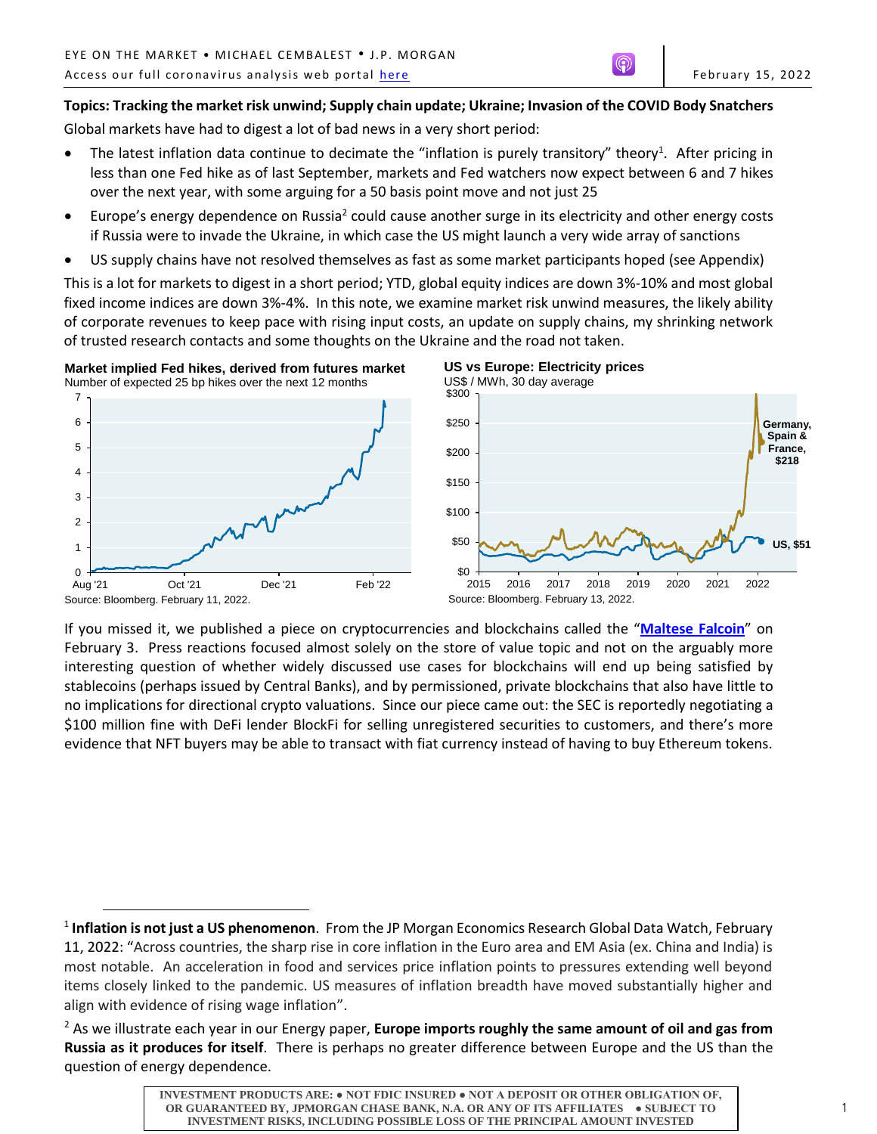$\overline{a}$ 

# **Topics: Tracking the market risk unwind; Supply chain update; Ukraine; Invasion of the COVID Body Snatchers**

Global markets have had to digest a lot of bad news in a very short period:

- The latest inflation data continue to decimate the "inflation is purely transitory" theory<sup>1</sup>. After pricing in less than one Fed hike as of last September, markets and Fed watchers now expect between 6 and 7 hikes over the next year, with some arguing for a 50 basis point move and not just 25
- Europe's energy dependence on Russia<sup>2</sup> could cause another surge in its electricity and other energy costs if Russia were to invade the Ukraine, in which case the US might launch a very wide array of sanctions
- US supply chains have not resolved themselves as fast as some market participants hoped (see Appendix)

This is a lot for markets to digest in a short period; YTD, global equity indices are down 3%-10% and most global fixed income indices are down 3%-4%. In this note, we examine market risk unwind measures, the likely ability of corporate revenues to keep pace with rising input costs, an update on supply chains, my shrinking network of trusted research contacts and some thoughts on the Ukraine and the road not taken.



If you missed it, we published a piece on cryptocurrencies and blockchains called the "**[Maltese Falcoin](https://am.jpmorgan.com/content/dam/jpm-am-aem/global/en/insights/eye-on-the-market/the-maltese-falcoin-amv.pdf)**" on February 3. Press reactions focused almost solely on the store of value topic and not on the arguably more interesting question of whether widely discussed use cases for blockchains will end up being satisfied by stablecoins (perhaps issued by Central Banks), and by permissioned, private blockchains that also have little to no implications for directional crypto valuations. Since our piece came out: the SEC is reportedly negotiating a \$100 million fine with DeFi lender BlockFi for selling unregistered securities to customers, and there's more evidence that NFT buyers may be able to transact with fiat currency instead of having to buy Ethereum tokens.

<sup>1</sup> **Inflation is not just a US phenomenon**. From the JP Morgan Economics Research Global Data Watch, February 11, 2022: "Across countries, the sharp rise in core inflation in the Euro area and EM Asia (ex. China and India) is most notable. An acceleration in food and services price inflation points to pressures extending well beyond items closely linked to the pandemic. US measures of inflation breadth have moved substantially higher and align with evidence of rising wage inflation".

<sup>2</sup> As we illustrate each year in our Energy paper, **Europe imports roughly the same amount of oil and gas from Russia as it produces for itself**. There is perhaps no greater difference between Europe and the US than the question of energy dependence.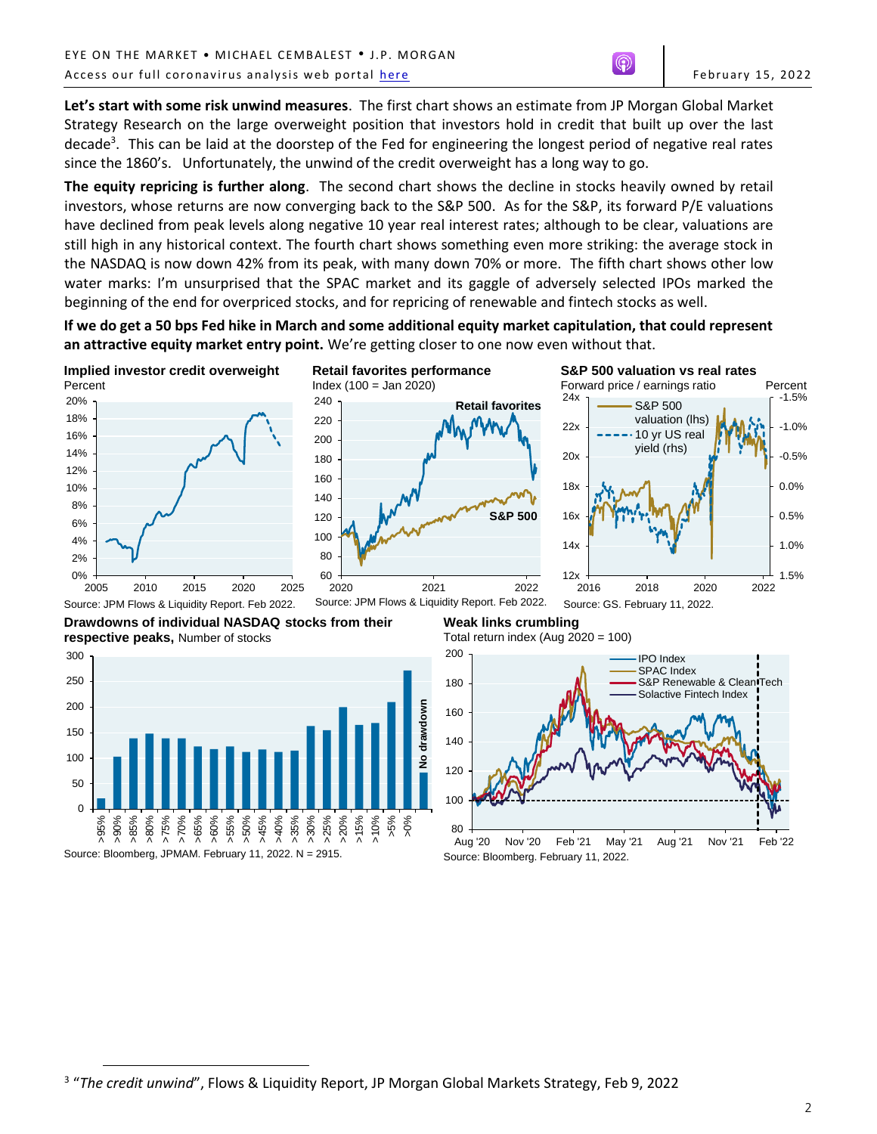**Let's start with some risk unwind measures**. The first chart shows an estimate from JP Morgan Global Market Strategy Research on the large overweight position that investors hold in credit that built up over the last decade<sup>3</sup>. This can be laid at the doorstep of the Fed for engineering the longest period of negative real rates since the 1860's. Unfortunately, the unwind of the credit overweight has a long way to go.

**The equity repricing is further along**. The second chart shows the decline in stocks heavily owned by retail investors, whose returns are now converging back to the S&P 500. As for the S&P, its forward P/E valuations have declined from peak levels along negative 10 year real interest rates; although to be clear, valuations are still high in any historical context. The fourth chart shows something even more striking: the average stock in the NASDAQ is now down 42% from its peak, with many down 70% or more. The fifth chart shows other low water marks: I'm unsurprised that the SPAC market and its gaggle of adversely selected IPOs marked the beginning of the end for overpriced stocks, and for repricing of renewable and fintech stocks as well.

**If we do get a 50 bps Fed hike in March and some additional equity market capitulation, that could represent an attractive equity market entry point.** We're getting closer to one now even without that.



80

Source: Bloomberg. February 11, 2022.

Aug '20 Nov '20 Feb '21 May '21 Aug '21 Nov '21 Feb '22

100

 $\overline{a}$ 

 $\Omega$ 50

>95% >90% >85% >80% >75% >70% >65% >60% >55% >50% >45% >40% >35% >30% >25% >20% >15% >10% >5% >0%

Source: Bloomberg, JPMAM. February 11, 2022. N = 2915.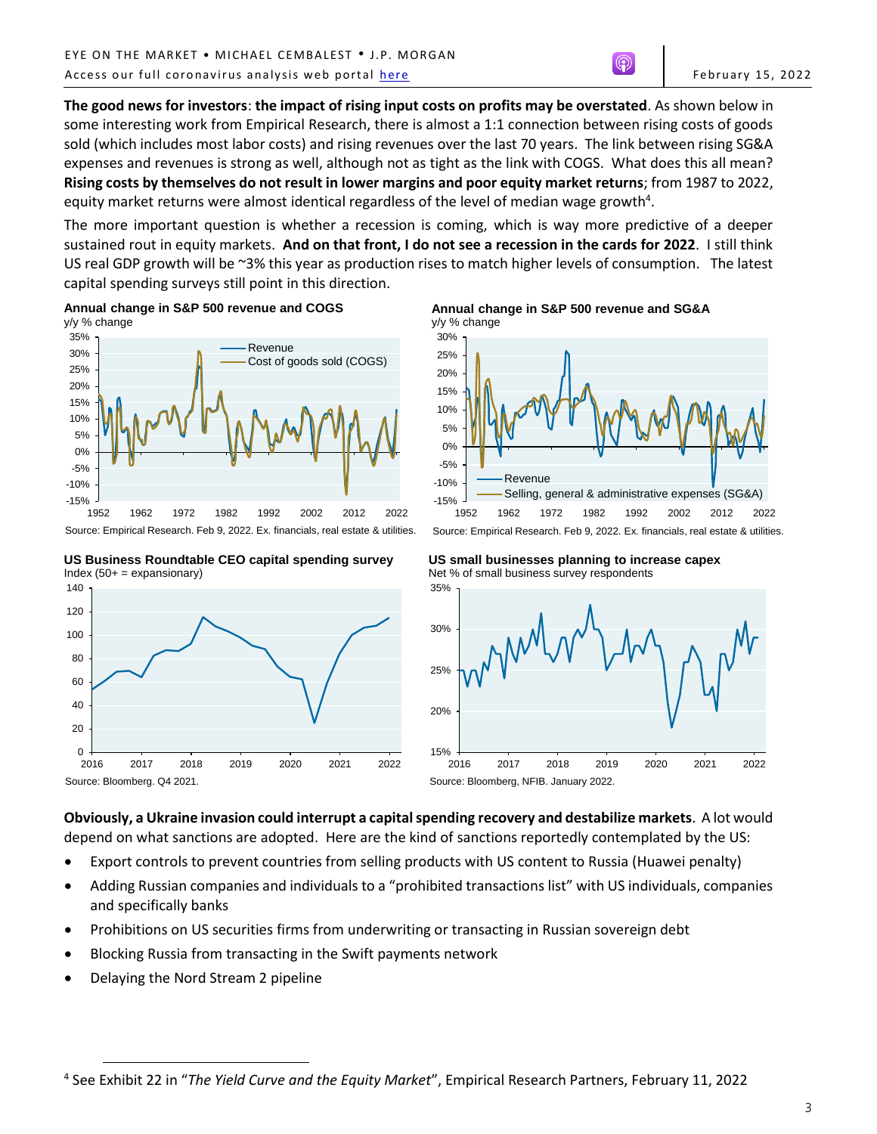**The good news for investors**: **the impact of rising input costs on profits may be overstated**. As shown below in some interesting work from Empirical Research, there is almost a 1:1 connection between rising costs of goods sold (which includes most labor costs) and rising revenues over the last 70 years. The link between rising SG&A expenses and revenues is strong as well, although not as tight as the link with COGS. What does this all mean? **Rising costs by themselves do not result in lower margins and poor equity market returns**; from 1987 to 2022, equity market returns were almost identical regardless of the level of median wage growth<sup>4</sup>.

The more important question is whether a recession is coming, which is way more predictive of a deeper sustained rout in equity markets. **And on that front, I do not see a recession in the cards for 2022**. I still think US real GDP growth will be ~3% this year as production rises to match higher levels of consumption. The latest capital spending surveys still point in this direction.





Source: Empirical Research. Feb 9, 2022. Ex. financials, real estate & utilities.





**Annual change in S&P 500 revenue and SG&A** y/y % change



**US small businesses planning to increase capex**

Net % of small business survey respondents



**Obviously, a Ukraine invasion could interrupt a capital spending recovery and destabilize markets**. A lot would depend on what sanctions are adopted. Here are the kind of sanctions reportedly contemplated by the US:

- Export controls to prevent countries from selling products with US content to Russia (Huawei penalty)
- Adding Russian companies and individuals to a "prohibited transactions list" with US individuals, companies and specifically banks
- Prohibitions on US securities firms from underwriting or transacting in Russian sovereign debt
- Blocking Russia from transacting in the Swift payments network
- Delaying the Nord Stream 2 pipeline

 $\overline{a}$ 

<sup>4</sup> See Exhibit 22 in "*The Yield Curve and the Equity Market*", Empirical Research Partners, February 11, 2022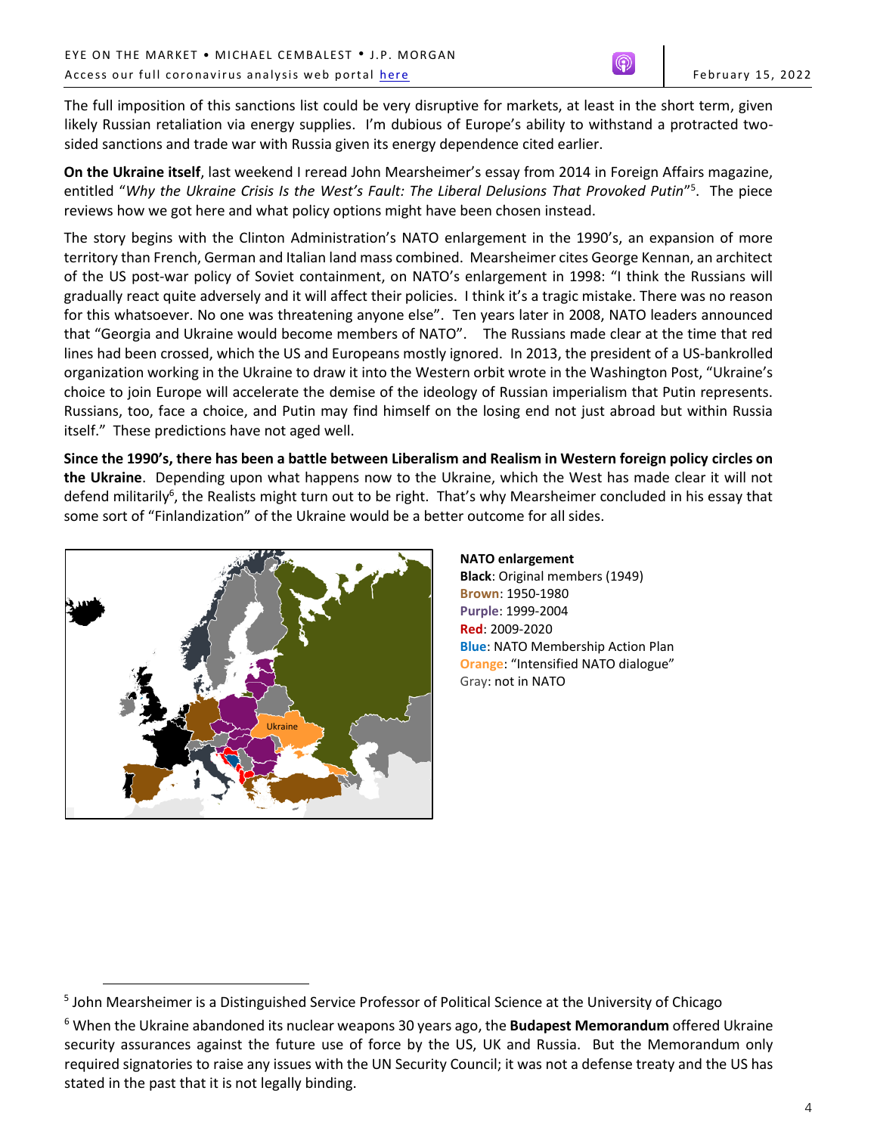The full imposition of this sanctions list could be very disruptive for markets, at least in the short term, given likely Russian retaliation via energy supplies. I'm dubious of Europe's ability to withstand a protracted twosided sanctions and trade war with Russia given its energy dependence cited earlier.

**On the Ukraine itself**, last weekend I reread John Mearsheimer's essay from 2014 in Foreign Affairs magazine, entitled "*Why the Ukraine Crisis Is the West's Fault: The Liberal Delusions That Provoked Putin*" 5 . The piece reviews how we got here and what policy options might have been chosen instead.

The story begins with the Clinton Administration's NATO enlargement in the 1990's, an expansion of more territory than French, German and Italian land mass combined. Mearsheimer cites George Kennan, an architect of the US post-war policy of Soviet containment, on NATO's enlargement in 1998: "I think the Russians will gradually react quite adversely and it will affect their policies. I think it's a tragic mistake. There was no reason for this whatsoever. No one was threatening anyone else". Ten years later in 2008, NATO leaders announced that "Georgia and Ukraine would become members of NATO". The Russians made clear at the time that red lines had been crossed, which the US and Europeans mostly ignored. In 2013, the president of a US-bankrolled organization working in the Ukraine to draw it into the Western orbit wrote in the Washington Post, "Ukraine's choice to join Europe will accelerate the demise of the ideology of Russian imperialism that Putin represents. Russians, too, face a choice, and Putin may find himself on the losing end not just abroad but within Russia itself." These predictions have not aged well.

**Since the 1990's, there has been a battle between Liberalism and Realism in Western foreign policy circles on the Ukraine**. Depending upon what happens now to the Ukraine, which the West has made clear it will not defend militarily<sup>6</sup>, the Realists might turn out to be right. That's why Mearsheimer concluded in his essay that some sort of "Finlandization" of the Ukraine would be a better outcome for all sides.



 $\overline{a}$ 



<sup>&</sup>lt;sup>5</sup> John Mearsheimer is a Distinguished Service Professor of Political Science at the University of Chicago

<sup>6</sup> When the Ukraine abandoned its nuclear weapons 30 years ago, the **Budapest Memorandum** offered Ukraine security assurances against the future use of force by the US, UK and Russia. But the Memorandum only required signatories to raise any issues with the UN Security Council; it was not a defense treaty and the US has stated in the past that it is not legally binding.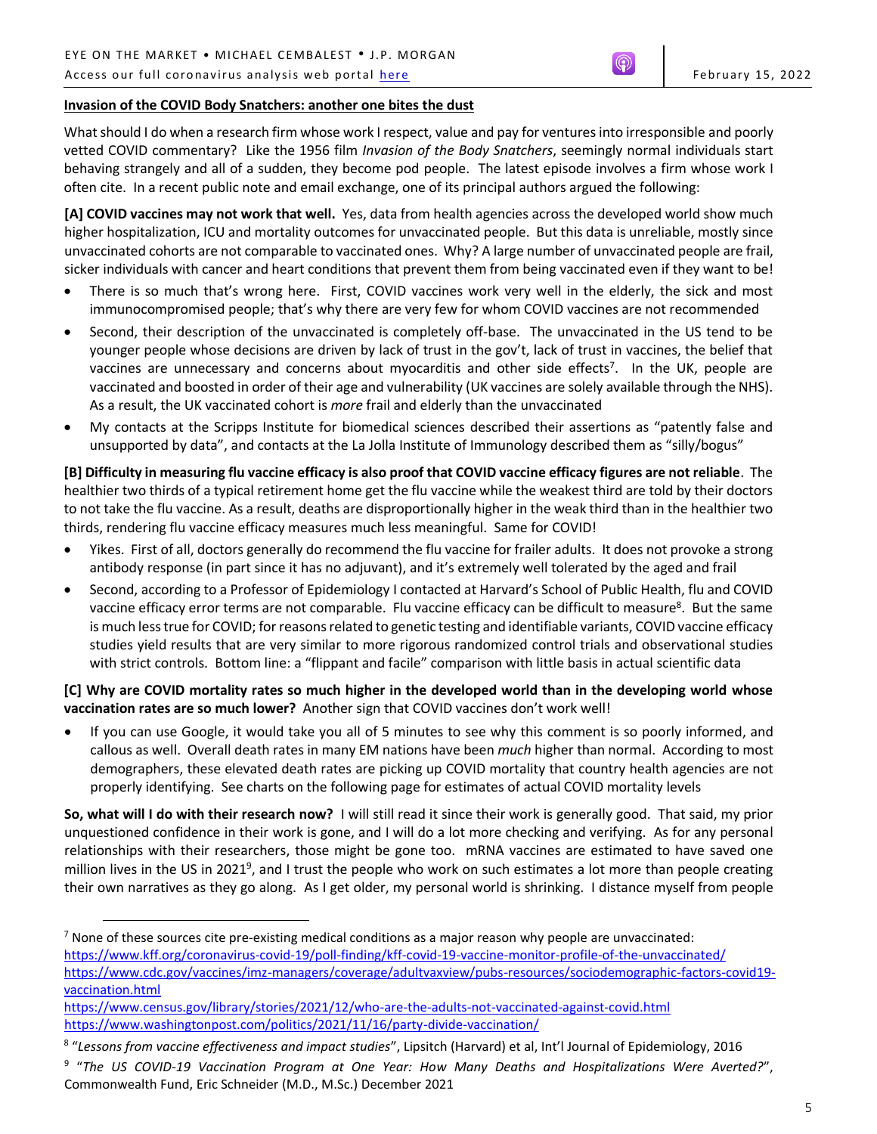# **Invasion of the COVID Body Snatchers: another one bites the dust**

What should I do when a research firm whose work I respect, value and pay for ventures into irresponsible and poorly vetted COVID commentary? Like the 1956 film *Invasion of the Body Snatchers*, seemingly normal individuals start behaving strangely and all of a sudden, they become pod people. The latest episode involves a firm whose work I often cite. In a recent public note and email exchange, one of its principal authors argued the following:

**[A] COVID vaccines may not work that well.** Yes, data from health agencies across the developed world show much higher hospitalization, ICU and mortality outcomes for unvaccinated people. But this data is unreliable, mostly since unvaccinated cohorts are not comparable to vaccinated ones. Why? A large number of unvaccinated people are frail, sicker individuals with cancer and heart conditions that prevent them from being vaccinated even if they want to be!

- There is so much that's wrong here. First, COVID vaccines work very well in the elderly, the sick and most immunocompromised people; that's why there are very few for whom COVID vaccines are not recommended
- Second, their description of the unvaccinated is completely off-base. The unvaccinated in the US tend to be younger people whose decisions are driven by lack of trust in the gov't, lack of trust in vaccines, the belief that vaccines are unnecessary and concerns about myocarditis and other side effects<sup>7</sup>. In the UK, people are vaccinated and boosted in order of their age and vulnerability (UK vaccines are solely available through the NHS). As a result, the UK vaccinated cohort is *more* frail and elderly than the unvaccinated
- My contacts at the Scripps Institute for biomedical sciences described their assertions as "patently false and unsupported by data", and contacts at the La Jolla Institute of Immunology described them as "silly/bogus"

**[B] Difficulty in measuring flu vaccine efficacy is also proof that COVID vaccine efficacy figures are not reliable**. The healthier two thirds of a typical retirement home get the flu vaccine while the weakest third are told by their doctors to not take the flu vaccine. As a result, deaths are disproportionally higher in the weak third than in the healthier two thirds, rendering flu vaccine efficacy measures much less meaningful. Same for COVID!

- Yikes. First of all, doctors generally do recommend the flu vaccine for frailer adults. It does not provoke a strong antibody response (in part since it has no adjuvant), and it's extremely well tolerated by the aged and frail
- Second, according to a Professor of Epidemiology I contacted at Harvard's School of Public Health, flu and COVID vaccine efficacy error terms are not comparable. Flu vaccine efficacy can be difficult to measure<sup>8</sup>. But the same is much lesstrue for COVID; for reasons related to genetic testing and identifiable variants, COVID vaccine efficacy studies yield results that are very similar to more rigorous randomized control trials and observational studies with strict controls. Bottom line: a "flippant and facile" comparison with little basis in actual scientific data

**[C] Why are COVID mortality rates so much higher in the developed world than in the developing world whose vaccination rates are so much lower?** Another sign that COVID vaccines don't work well!

• If you can use Google, it would take you all of 5 minutes to see why this comment is so poorly informed, and callous as well. Overall death rates in many EM nations have been *much* higher than normal. According to most demographers, these elevated death rates are picking up COVID mortality that country health agencies are not properly identifying. See charts on the following page for estimates of actual COVID mortality levels

**So, what will I do with their research now?** I will still read it since their work is generally good. That said, my prior unquestioned confidence in their work is gone, and I will do a lot more checking and verifying. As for any personal relationships with their researchers, those might be gone too. mRNA vaccines are estimated to have saved one million lives in the US in 2021<sup>9</sup>, and I trust the people who work on such estimates a lot more than people creating their own narratives as they go along. As I get older, my personal world is shrinking. I distance myself from people

 $\overline{a}$ 

[https://www.kff.org/coronavirus-covid-19/poll-finding/kff-covid-19-vaccine-monitor-profile-of-the-unvaccinated/](https://secureweb.jpmchase.net/readonly/https:/www.kff.org/coronavirus-covid-19/poll-finding/kff-covid-19-vaccine-monitor-profile-of-the-unvaccinated/)

 $<sup>7</sup>$  None of these sources cite pre-existing medical conditions as a major reason why people are unvaccinated:</sup>

[https://www.cdc.gov/vaccines/imz-managers/coverage/adultvaxview/pubs-resources/sociodemographic-factors-covid19](https://secureweb.jpmchase.net/readonly/https:/www.cdc.gov/vaccines/imz-managers/coverage/adultvaxview/pubs-resources/sociodemographic-factors-covid19-vaccination.html) [vaccination.html](https://secureweb.jpmchase.net/readonly/https:/www.cdc.gov/vaccines/imz-managers/coverage/adultvaxview/pubs-resources/sociodemographic-factors-covid19-vaccination.html)

[https://www.census.gov/library/stories/2021/12/who-are-the-adults-not-vaccinated-against-covid.html](https://secureweb.jpmchase.net/readonly/https:/www.census.gov/library/stories/2021/12/who-are-the-adults-not-vaccinated-against-covid.html) [https://www.washingtonpost.com/politics/2021/11/16/party-divide-vaccination/](https://secureweb.jpmchase.net/readonly/https:/www.washingtonpost.com/politics/2021/11/16/party-divide-vaccination/)

<sup>8</sup> "*Lessons from vaccine effectiveness and impact studies*", Lipsitch (Harvard) et al, Int'l Journal of Epidemiology, 2016

<sup>9</sup> "*The US COVID-19 Vaccination Program at One Year: How Many Deaths and Hospitalizations Were Averted?*", Commonwealth Fund, Eric Schneider (M.D., M.Sc.) December 2021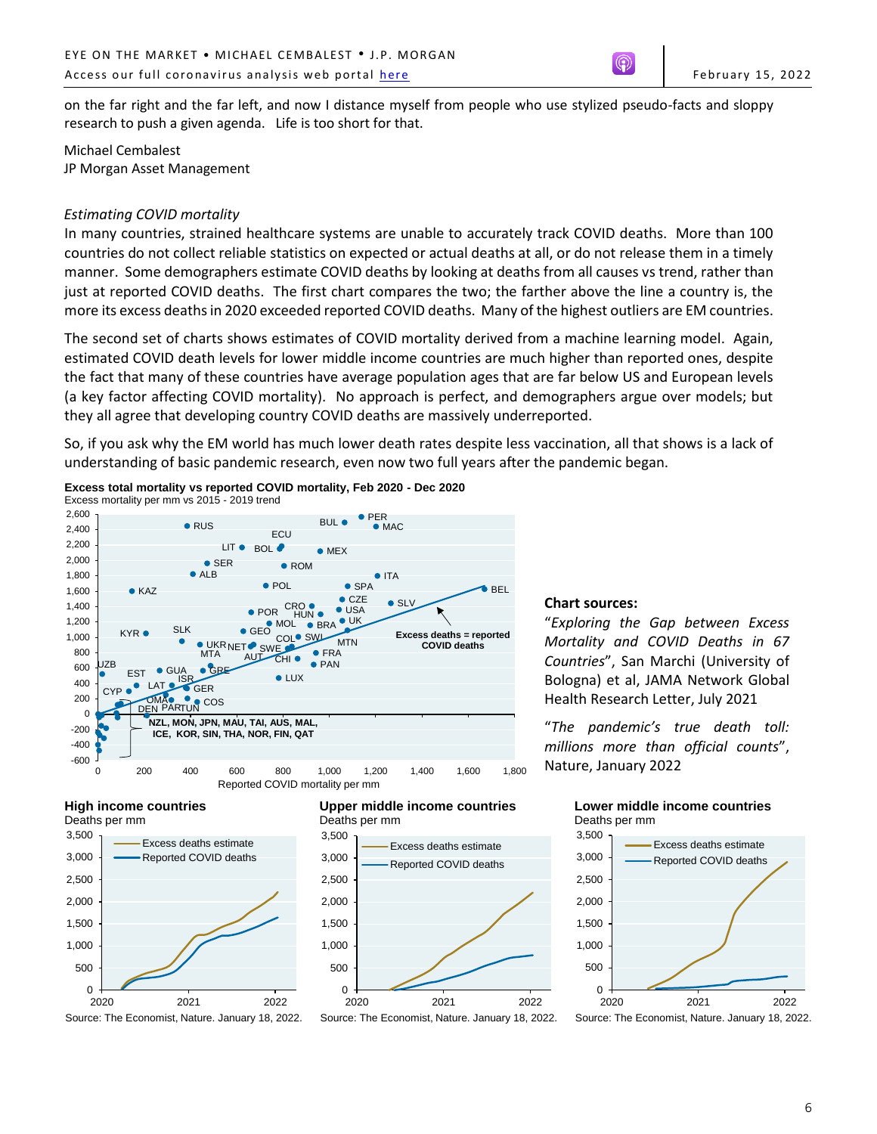on the far right and the far left, and now I distance myself from people who use stylized pseudo-facts and sloppy research to push a given agenda. Life is too short for that.

Michael Cembalest JP Morgan Asset Management

# *Estimating COVID mortality*

In many countries, strained healthcare systems are unable to accurately track COVID deaths. More than 100 countries do not collect reliable statistics on expected or actual deaths at all, or do not release them in a timely manner. Some demographers estimate COVID deaths by looking at deaths from all causes vs trend, rather than just at reported COVID deaths. The first chart compares the two; the farther above the line a country is, the more its excess deaths in 2020 exceeded reported COVID deaths. Many of the highest outliers are EM countries.

The second set of charts shows estimates of COVID mortality derived from a machine learning model. Again, estimated COVID death levels for lower middle income countries are much higher than reported ones, despite the fact that many of these countries have average population ages that are far below US and European levels (a key factor affecting COVID mortality). No approach is perfect, and demographers argue over models; but they all agree that developing country COVID deaths are massively underreported.

So, if you ask why the EM world has much lower death rates despite less vaccination, all that shows is a lack of understanding of basic pandemic research, even now two full years after the pandemic began.



**Excess total mortality vs reported COVID mortality, Feb 2020 - Dec 2020** Excess mortality per mm vs 2015 - 2019 trend

## **High income countries**





**Upper middle income countries** Deaths per mm





"*Exploring the Gap between Excess Mortality and COVID Deaths in 67 Countries*", San Marchi (University of Bologna) et al, JAMA Network Global Health Research Letter, July 2021

"*The pandemic's true death toll: millions more than official counts*", Nature, January 2022

## **Lower middle income countries** Deaths per mm



Source: The Economist, Nature. January 18, 2022.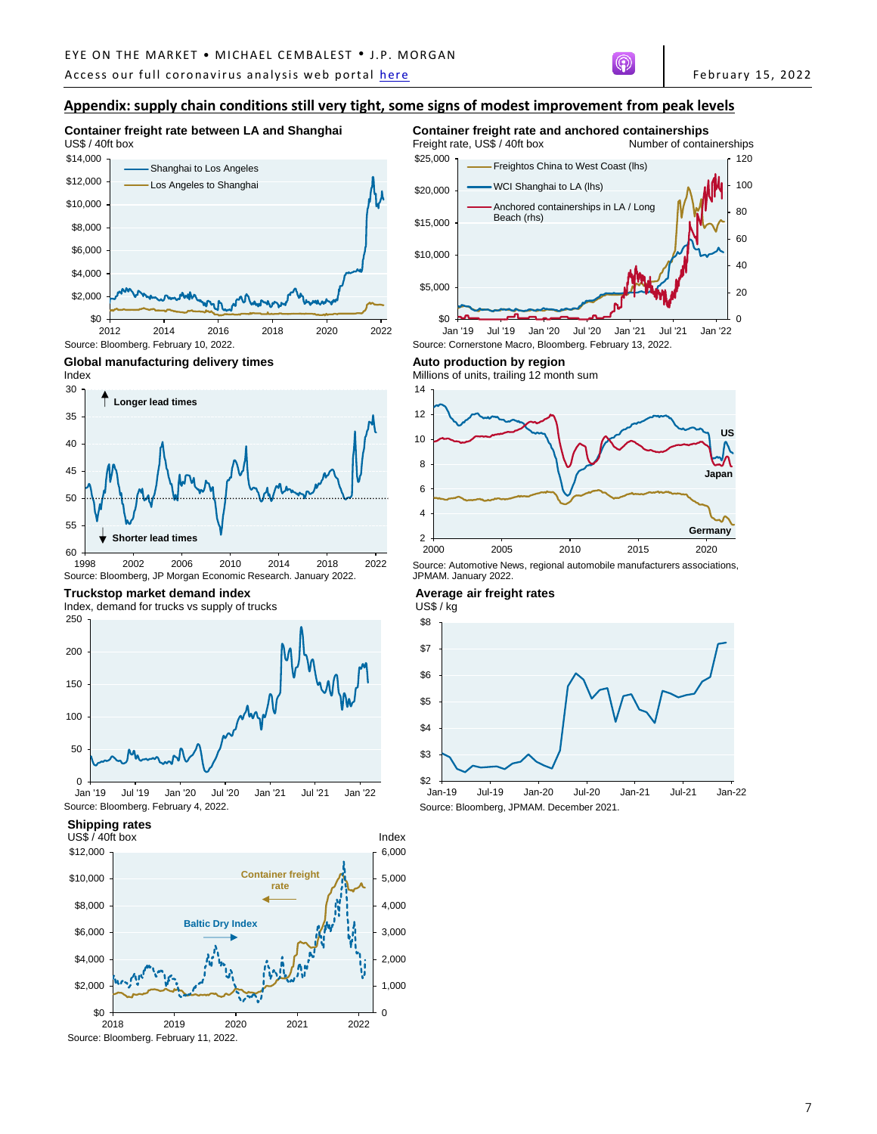Access our full coronavirus analysis web portal here **the contract of the Fermi analysis web** portal here **Fermi analysis web** port all here the state of the February 15, 2022

## **Appendix: supply chain conditions still very tight, some signs of modest improvement from peak levels**







1998 2002 2006 2010 2014 2018 2022 Source: Bloomberg, JP Morgan Economic Research. January 2022.

### **Truckstop market demand index**



Source: Bloomberg. February 4, 2022.

**Shipping rates**





Source: Cornerstone Macro, Bloomberg. February 13, 2022.

#### **Auto production by region**

Millions of units, trailing 12 month sum



Source: Automotive News, regional automobile manufacturers associations, JPMAM. January 2022.

#### **Average air freight rates** US\$ / kg



Jan-19 Jul-19 Jan-20 Jul-20 Jan-21 Jul-21 Jan-22 Source: Bloomberg, JPMAM. December 2021.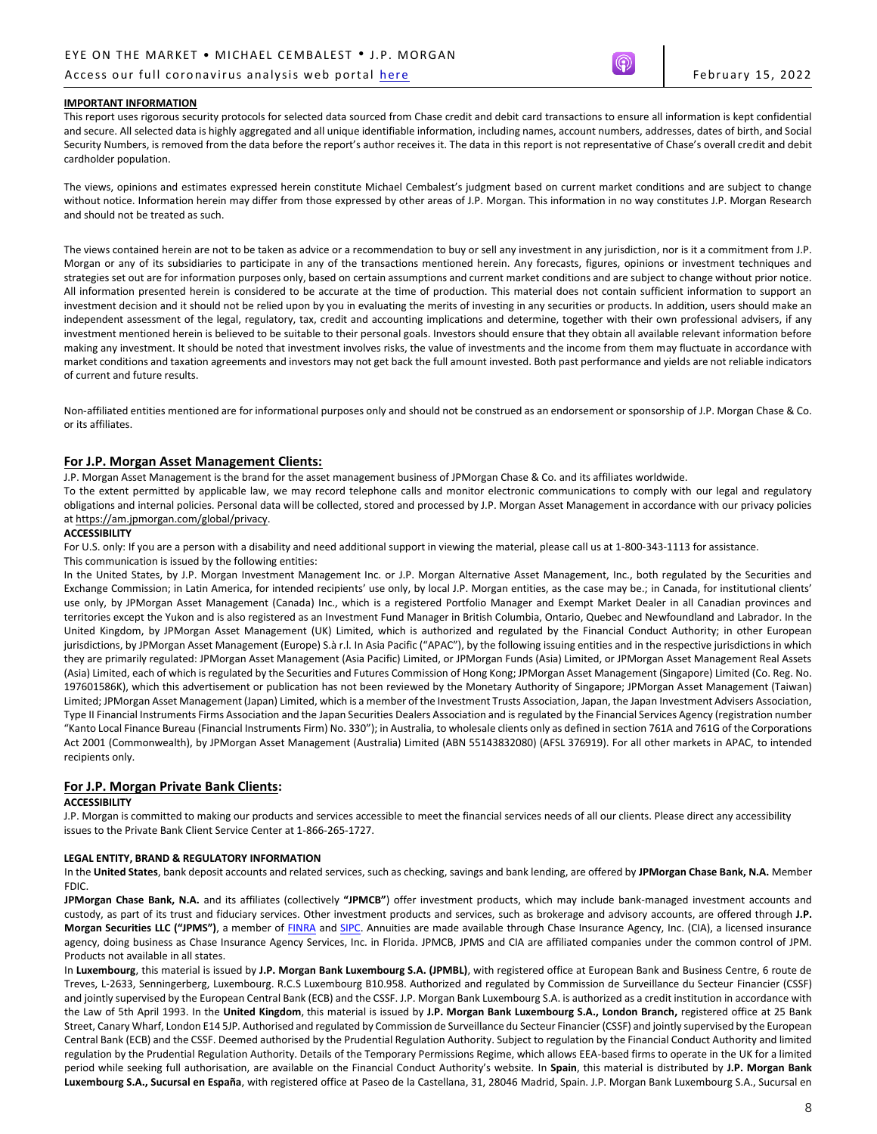### Access our full coronavirus analysis web portal here **the contract of the Fermi analysis web** portal here **Fermi analysis web** port all here the state of the February 15, 2022

### **IMPORTANT INFORMATION**

This report uses rigorous security protocols for selected data sourced from Chase credit and debit card transactions to ensure all information is kept confidential and secure. All selected data is highly aggregated and all unique identifiable information, including names, account numbers, addresses, dates of birth, and Social Security Numbers, is removed from the data before the report's author receives it. The data in this report is not representative of Chase's overall credit and debit cardholder population.

The views, opinions and estimates expressed herein constitute Michael Cembalest's judgment based on current market conditions and are subject to change without notice. Information herein may differ from those expressed by other areas of J.P. Morgan. This information in no way constitutes J.P. Morgan Research and should not be treated as such.

The views contained herein are not to be taken as advice or a recommendation to buy or sell any investment in any jurisdiction, nor is it a commitment from J.P. Morgan or any of its subsidiaries to participate in any of the transactions mentioned herein. Any forecasts, figures, opinions or investment techniques and strategies set out are for information purposes only, based on certain assumptions and current market conditions and are subject to change without prior notice. All information presented herein is considered to be accurate at the time of production. This material does not contain sufficient information to support an investment decision and it should not be relied upon by you in evaluating the merits of investing in any securities or products. In addition, users should make an independent assessment of the legal, regulatory, tax, credit and accounting implications and determine, together with their own professional advisers, if any investment mentioned herein is believed to be suitable to their personal goals. Investors should ensure that they obtain all available relevant information before making any investment. It should be noted that investment involves risks, the value of investments and the income from them may fluctuate in accordance with market conditions and taxation agreements and investors may not get back the full amount invested. Both past performance and yields are not reliable indicators of current and future results.

Non-affiliated entities mentioned are for informational purposes only and should not be construed as an endorsement or sponsorship of J.P. Morgan Chase & Co. or its affiliates.

### **For J.P. Morgan Asset Management Clients:**

J.P. Morgan Asset Management is the brand for the asset management business of JPMorgan Chase & Co. and its affiliates worldwide.

To the extent permitted by applicable law, we may record telephone calls and monitor electronic communications to comply with our legal and regulatory obligations and internal policies. Personal data will be collected, stored and processed by J.P. Morgan Asset Management in accordance with our privacy policies a[t https://am.jpmorgan.com/global/privacy.](https://am.jpmorgan.com/global/privacy)

### **ACCESSIBILITY**

For U.S. only: If you are a person with a disability and need additional support in viewing the material, please call us at 1-800-343-1113 for assistance.

#### This communication is issued by the following entities:

In the United States, by J.P. Morgan Investment Management Inc. or J.P. Morgan Alternative Asset Management, Inc., both regulated by the Securities and Exchange Commission; in Latin America, for intended recipients' use only, by local J.P. Morgan entities, as the case may be.; in Canada, for institutional clients' use only, by JPMorgan Asset Management (Canada) Inc., which is a registered Portfolio Manager and Exempt Market Dealer in all Canadian provinces and territories except the Yukon and is also registered as an Investment Fund Manager in British Columbia, Ontario, Quebec and Newfoundland and Labrador. In the United Kingdom, by JPMorgan Asset Management (UK) Limited, which is authorized and regulated by the Financial Conduct Authority; in other European jurisdictions, by JPMorgan Asset Management (Europe) S.à r.l. In Asia Pacific ("APAC"), by the following issuing entities and in the respective jurisdictions in which they are primarily regulated: JPMorgan Asset Management (Asia Pacific) Limited, or JPMorgan Funds (Asia) Limited, or JPMorgan Asset Management Real Assets (Asia) Limited, each of which is regulated by the Securities and Futures Commission of Hong Kong; JPMorgan Asset Management (Singapore) Limited (Co. Reg. No. 197601586K), which this advertisement or publication has not been reviewed by the Monetary Authority of Singapore; JPMorgan Asset Management (Taiwan) Limited; JPMorgan Asset Management (Japan) Limited, which is a member of the Investment Trusts Association, Japan, the Japan Investment Advisers Association, Type II Financial Instruments Firms Association and the Japan Securities Dealers Association and is regulated by the Financial Services Agency (registration number "Kanto Local Finance Bureau (Financial Instruments Firm) No. 330"); in Australia, to wholesale clients only as defined in section 761A and 761G of the Corporations Act 2001 (Commonwealth), by JPMorgan Asset Management (Australia) Limited (ABN 55143832080) (AFSL 376919). For all other markets in APAC, to intended recipients only.

### **For J.P. Morgan Private Bank Clients:**

### **ACCESSIBILITY**

J.P. Morgan is committed to making our products and services accessible to meet the financial services needs of all our clients. Please direct any accessibility issues to the Private Bank Client Service Center at 1-866-265-1727.

### **LEGAL ENTITY, BRAND & REGULATORY INFORMATION**

In the **United States**, bank deposit accounts and related services, such as checking, savings and bank lending, are offered by **JPMorgan Chase Bank, N.A.** Member FDIC.

**JPMorgan Chase Bank, N.A.** and its affiliates (collectively **"JPMCB"**) offer investment products, which may include bank-managed investment accounts and custody, as part of its trust and fiduciary services. Other investment products and services, such as brokerage and advisory accounts, are offered through **J.P. Morgan Securities LLC ("JPMS")**, a member of [FINRA](http://www.finra.org/) an[d SIPC.](http://www.sipc.org/) Annuities are made available through Chase Insurance Agency, Inc. (CIA), a licensed insurance agency, doing business as Chase Insurance Agency Services, Inc. in Florida. JPMCB, JPMS and CIA are affiliated companies under the common control of JPM. Products not available in all states.

In **Luxembourg**, this material is issued by **J.P. Morgan Bank Luxembourg S.A. (JPMBL)**, with registered office at European Bank and Business Centre, 6 route de Treves, L-2633, Senningerberg, Luxembourg. R.C.S Luxembourg B10.958. Authorized and regulated by Commission de Surveillance du Secteur Financier (CSSF) and jointly supervised by the European Central Bank (ECB) and the CSSF. J.P. Morgan Bank Luxembourg S.A. is authorized as a credit institution in accordance with the Law of 5th April 1993. In the **United Kingdom**, this material is issued by **J.P. Morgan Bank Luxembourg S.A., London Branch,** registered office at 25 Bank Street, Canary Wharf, London E14 5JP. Authorised and regulated by Commission de Surveillance du Secteur Financier (CSSF) and jointly supervised by the European Central Bank (ECB) and the CSSF. Deemed authorised by the Prudential Regulation Authority. Subject to regulation by the Financial Conduct Authority and limited regulation by the Prudential Regulation Authority. Details of the Temporary Permissions Regime, which allows EEA-based firms to operate in the UK for a limited period while seeking full authorisation, are available on the Financial Conduct Authority's website. In **Spain**, this material is distributed by **J.P. Morgan Bank Luxembourg S.A., Sucursal en España**, with registered office at Paseo de la Castellana, 31, 28046 Madrid, Spain. J.P. Morgan Bank Luxembourg S.A., Sucursal en